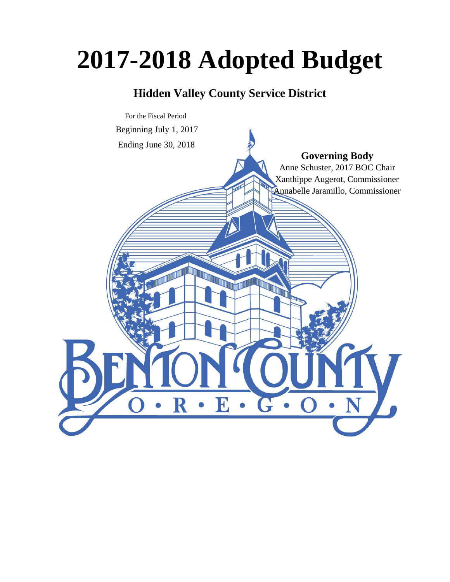# **2017-2018 Adopted Budget**

# **Hidden Valley County Service District**

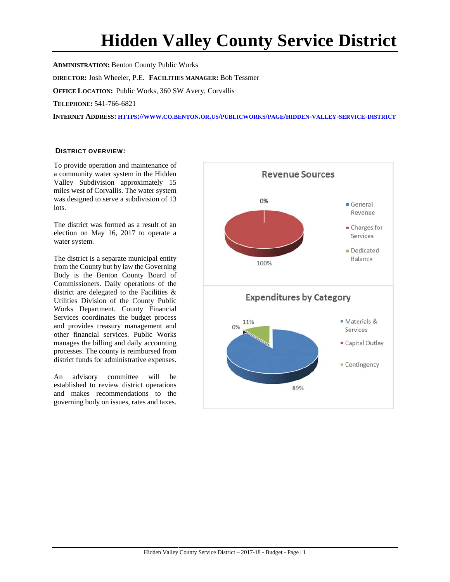# **Hidden Valley County Service District**

**ADMINISTRATION:** Benton County Public Works **DIRECTOR:** Josh Wheeler, P.E. **FACILITIES MANAGER:** Bob Tessmer **OFFICE LOCATION:** Public Works, 360 SW Avery, Corvallis **TELEPHONE:** 541-766-6821 **INTERNET ADDRESS: HTTPS://WWW.CO.BENTON.OR.US/PUBLICWORKS/PAGE/HIDDEN-VALLEY-SERVICE-DISTRICT**

#### **DISTRICT OVERVIEW:**

To provide operation and maintenance of a community water system in the Hidden Valley Subdivision approximately 15 miles west of Corvallis. The water system was designed to serve a subdivision of 13 lots.

The district was formed as a result of an election on May 16, 2017 to operate a water system.

The district is a separate municipal entity from the County but by law the Governing Body is the Benton County Board of Commissioners. Daily operations of the district are delegated to the Facilities & Utilities Division of the County Public Works Department. County Financial Services coordinates the budget process and provides treasury management and other financial services. Public Works manages the billing and daily accounting processes. The county is reimbursed from district funds for administrative expenses.

An advisory committee will be established to review district operations and makes recommendations to the governing body on issues, rates and taxes.

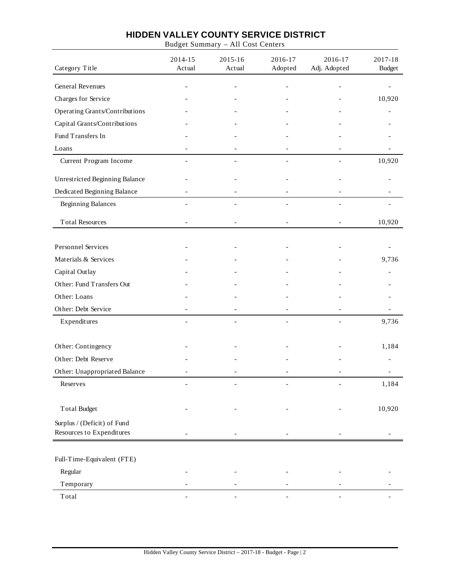Budget Summary – All Cost Centers

| Category Title                                           | 2014-15<br>Actual | 2015-16<br>Actual | 2016-17<br>Adopted | 2016-17<br>Adj. Adopted | 2017-18<br><b>Budget</b> |
|----------------------------------------------------------|-------------------|-------------------|--------------------|-------------------------|--------------------------|
| General Revenues                                         |                   |                   |                    |                         |                          |
| Charges for Service                                      |                   |                   |                    |                         | 10,920                   |
| Operating Grants/Contributions                           |                   |                   |                    |                         |                          |
| Capital Grants/Contributions                             |                   |                   |                    |                         |                          |
| Fund Transfers In                                        |                   |                   |                    |                         |                          |
| Loans                                                    |                   |                   |                    |                         |                          |
| Current Program Income                                   |                   | $\overline{a}$    | $\overline{a}$     | $\overline{a}$          | 10,920                   |
| Unrestricted Beginning Balance                           |                   |                   |                    |                         |                          |
| Dedicated Beginning Balance                              |                   |                   |                    |                         |                          |
| <b>Beginning Balances</b>                                |                   | $\overline{a}$    | $\overline{a}$     | $\overline{a}$          |                          |
| <b>Total Resources</b>                                   |                   |                   |                    |                         | 10,920                   |
| <b>Personnel Services</b>                                |                   |                   |                    |                         |                          |
| Materials & Services                                     |                   |                   |                    |                         | 9,736                    |
| Capital Outlay                                           |                   |                   |                    |                         |                          |
| Other: Fund Transfers Out                                |                   |                   |                    |                         |                          |
| Other: Loans                                             |                   |                   |                    |                         |                          |
| Other: Debt Service                                      |                   |                   |                    |                         |                          |
| Expenditures                                             |                   |                   |                    |                         | 9,736                    |
| Other: Contingency                                       |                   |                   |                    |                         | 1,184                    |
| Other: Debt Reserve                                      |                   |                   |                    |                         |                          |
| Other: Unappropriated Balance                            |                   |                   |                    |                         |                          |
| Reserves                                                 |                   |                   |                    |                         | 1,184                    |
| <b>Total Budget</b>                                      |                   |                   |                    |                         | 10,920                   |
| Surplus / (Deficit) of Fund<br>Resources to Expenditures |                   |                   |                    |                         |                          |
|                                                          |                   |                   |                    |                         |                          |
| Full-Time-Equivalent (FTE)                               |                   |                   |                    |                         |                          |
| Regular                                                  |                   |                   |                    |                         |                          |
| Temporary                                                |                   |                   |                    |                         |                          |
| Total                                                    |                   |                   |                    |                         |                          |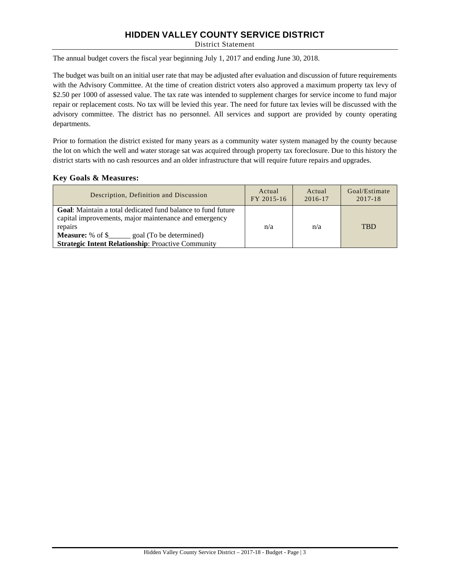District Statement

The annual budget covers the fiscal year beginning July 1, 2017 and ending June 30, 2018.

The budget was built on an initial user rate that may be adjusted after evaluation and discussion of future requirements with the Advisory Committee. At the time of creation district voters also approved a maximum property tax levy of \$2.50 per 1000 of assessed value. The tax rate was intended to supplement charges for service income to fund major repair or replacement costs. No tax will be levied this year. The need for future tax levies will be discussed with the advisory committee. The district has no personnel. All services and support are provided by county operating departments.

Prior to formation the district existed for many years as a community water system managed by the county because the lot on which the well and water storage sat was acquired through property tax foreclosure. Due to this history the district starts with no cash resources and an older infrastructure that will require future repairs and upgrades.

#### **Key Goals & Measures:**

| Description, Definition and Discussion                                                                                                                                                                                                                        | Actual     | Actual  | Goal/Estimate |
|---------------------------------------------------------------------------------------------------------------------------------------------------------------------------------------------------------------------------------------------------------------|------------|---------|---------------|
|                                                                                                                                                                                                                                                               | FY 2015-16 | 2016-17 | $2017 - 18$   |
| <b>Goal:</b> Maintain a total dedicated fund balance to fund future<br>capital improvements, major maintenance and emergency<br>repairs<br><b>Measure:</b> % of \$______ goal (To be determined)<br><b>Strategic Intent Relationship: Proactive Community</b> | n/a        | n/a     | <b>TRD</b>    |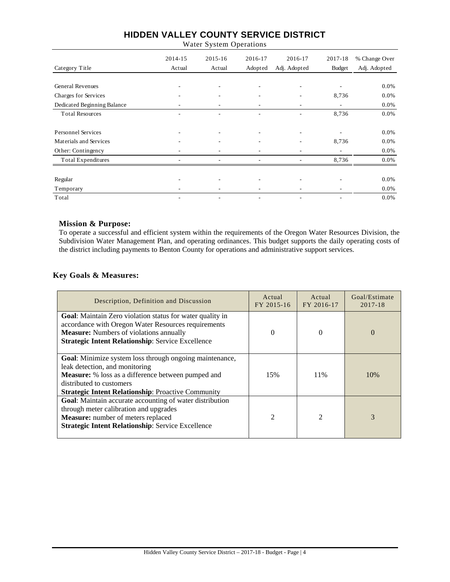Water System Operations

|                             | 2014-15 | $2015 - 16$              | 2016-17                  | 2016-17      | 2017-18       | % Change Over |
|-----------------------------|---------|--------------------------|--------------------------|--------------|---------------|---------------|
| Category Title              | Actual  | Actual                   | Adopted                  | Adj. Adopted | <b>Budget</b> | Adj. Adopted  |
|                             |         |                          |                          |              |               |               |
| <b>General Revenues</b>     |         | ۰                        |                          |              | ۰             | 0.0%          |
| Charges for Services        |         |                          |                          |              | 8,736         | 0.0%          |
| Dedicated Beginning Balance | ۰       | $\overline{\phantom{a}}$ | ۰                        | ٠            | ۰.            | 0.0%          |
| <b>Total Resources</b>      |         | ۰                        |                          |              | 8,736         | 0.0%          |
|                             |         |                          |                          |              |               |               |
| <b>Personnel Services</b>   | ۰       | ٠                        | $\overline{\phantom{a}}$ | ٠            | ٠             | 0.0%          |
| Materials and Services      |         |                          |                          |              | 8,736         | 0.0%          |
| Other: Contingency          |         | ٠                        |                          |              | ٠             | 0.0%          |
| Total Expenditures          | ۰       | ٠                        | ۰                        |              | 8,736         | 0.0%          |
| Regular                     |         |                          |                          | ٠            | ٠             | 0.0%          |
| Temporary                   |         |                          |                          |              |               | 0.0%          |
| Total                       |         | $\overline{\phantom{0}}$ |                          |              |               | 0.0%          |

#### **Mission & Purpose:**

To operate a successful and efficient system within the requirements of the Oregon Water Resources Division, the Subdivision Water Management Plan, and operating ordinances. This budget supports the daily operating costs of the district including payments to Benton County for operations and administrative support services.

#### **Key Goals & Measures:**

| Description, Definition and Discussion                                                                                                                                                                                                                 | Actual<br>FY 2015-16 | Actual<br>FY 2016-17 | Goal/Estimate<br>2017-18 |
|--------------------------------------------------------------------------------------------------------------------------------------------------------------------------------------------------------------------------------------------------------|----------------------|----------------------|--------------------------|
| <b>Goal:</b> Maintain Zero violation status for water quality in<br>accordance with Oregon Water Resources requirements<br><b>Measure:</b> Numbers of violations annually<br><b>Strategic Intent Relationship: Service Excellence</b>                  | $\Omega$             | $\Omega$             | $\Omega$                 |
| <b>Goal:</b> Minimize system loss through ongoing maintenance,<br>leak detection, and monitoring<br><b>Measure:</b> % loss as a difference between pumped and<br>distributed to customers<br><b>Strategic Intent Relationship: Proactive Community</b> | 15%                  | 11%                  | 10%                      |
| Goal: Maintain accurate accounting of water distribution<br>through meter calibration and upgrades<br>Measure: number of meters replaced<br><b>Strategic Intent Relationship: Service Excellence</b>                                                   | $\mathfrak{D}$       | $\mathfrak{D}$       | 3                        |